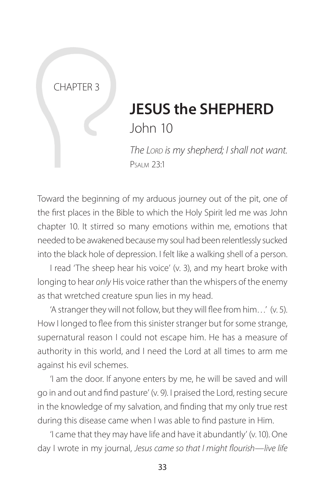### CHAPTER 3

# **JESUS the SHEPHERD** John 10

*The Lord is my shepherd; I shall not want.* Psalm 23:1

Toward the beginning of my arduous journey out of the pit, one of the first places in the Bible to which the Holy Spirit led me was John chapter 10. It stirred so many emotions within me, emotions that needed to be awakened because my soul had been relentlessly sucked into the black hole of depression. I felt like a walking shell of a person.

I read 'The sheep hear his voice' (v. 3), and my heart broke with longing to hear *only* His voice rather than the whispers of the enemy as that wretched creature spun lies in my head.

'A stranger they will not follow, but they will flee from him…' (v. 5). How I longed to flee from this sinister stranger but for some strange, supernatural reason I could not escape him. He has a measure of authority in this world, and I need the Lord at all times to arm me against his evil schemes.

'I am the door. If anyone enters by me, he will be saved and will go in and out and find pasture' (v. 9). I praised the Lord, resting secure in the knowledge of my salvation, and finding that my only true rest during this disease came when I was able to find pasture in Him.

'I came that they may have life and have it abundantly' (v. 10). One day I wrote in my journal, *Jesus came so that I might flourish—live life*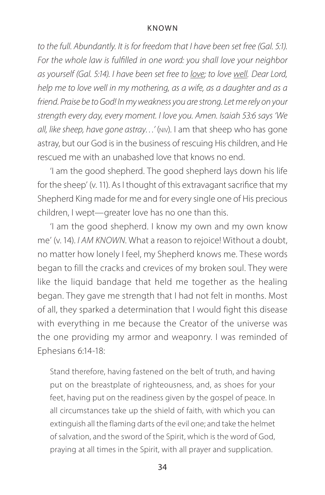*to the full. Abundantly. It is for freedom that I have been set free (Gal. 5:1). For the whole law is fulfilled in one word: you shall love your neighbor as yourself (Gal. 5:14). I have been set free to love; to love well. Dear Lord, help me to love well in my mothering, as a wife, as a daughter and as a friend. Praise be to God! In my weakness you are strong. Let me rely on your strength every day, every moment. I love you. Amen. Isaiah 53:6 says 'We all, like sheep, have gone astray…'* (niv). I am that sheep who has gone astray, but our God is in the business of rescuing His children, and He rescued me with an unabashed love that knows no end.

'I am the good shepherd. The good shepherd lays down his life for the sheep' (v. 11). As I thought of this extravagant sacrifice that my Shepherd King made for me and for every single one of His precious children, I wept—greater love has no one than this.

'I am the good shepherd. I know my own and my own know me' (v. 14). *I AM KNOWN*. What a reason to rejoice! Without a doubt, no matter how lonely I feel, my Shepherd knows me. These words began to fill the cracks and crevices of my broken soul. They were like the liquid bandage that held me together as the healing began. They gave me strength that I had not felt in months. Most of all, they sparked a determination that I would fight this disease with everything in me because the Creator of the universe was the one providing my armor and weaponry. I was reminded of Ephesians 6:14-18:

Stand therefore, having fastened on the belt of truth, and having put on the breastplate of righteousness, and, as shoes for your feet, having put on the readiness given by the gospel of peace. In all circumstances take up the shield of faith, with which you can extinguish all the flaming darts of the evil one; and take the helmet of salvation, and the sword of the Spirit, which is the word of God, praying at all times in the Spirit, with all prayer and supplication.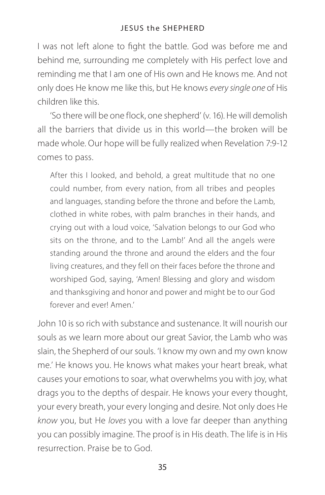I was not left alone to fight the battle. God was before me and behind me, surrounding me completely with His perfect love and reminding me that I am one of His own and He knows me. And not only does He know me like this, but He knows *every single one* of His children like this.

'So there will be one flock, one shepherd' (v. 16). He will demolish all the barriers that divide us in this world—the broken will be made whole. Our hope will be fully realized when Revelation 7:9-12 comes to pass.

After this I looked, and behold, a great multitude that no one could number, from every nation, from all tribes and peoples and languages, standing before the throne and before the Lamb, clothed in white robes, with palm branches in their hands, and crying out with a loud voice, 'Salvation belongs to our God who sits on the throne, and to the Lamb!' And all the angels were standing around the throne and around the elders and the four living creatures, and they fell on their faces before the throne and worshiped God, saying, 'Amen! Blessing and glory and wisdom and thanksgiving and honor and power and might be to our God forever and ever! Amen'

John 10 is so rich with substance and sustenance. It will nourish our souls as we learn more about our great Savior, the Lamb who was slain, the Shepherd of our souls. 'I know my own and my own know me.' He knows you. He knows what makes your heart break, what causes your emotions to soar, what overwhelms you with joy, what drags you to the depths of despair. He knows your every thought, your every breath, your every longing and desire. Not only does He *know* you, but He *loves* you with a love far deeper than anything you can possibly imagine. The proof is in His death. The life is in His resurrection. Praise be to God.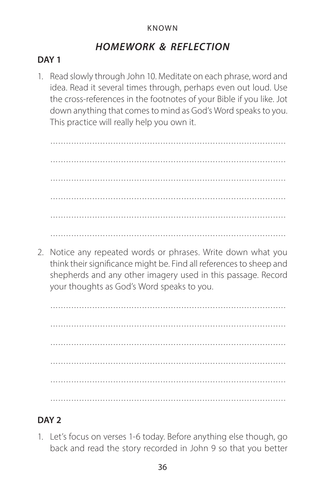# *HOMEWORK & REFLECTION*

## **DAY 1**

1. Read slowly through John 10. Meditate on each phrase, word and idea. Read it several times through, perhaps even out loud. Use the cross-references in the footnotes of your Bible if you like. Jot down anything that comes to mind as God's Word speaks to you. This practice will really help you own it.

 .......................................................................................... ..........................................................................................

2. Notice any repeated words or phrases. Write down what you think their significance might be. Find all references to sheep and shepherds and any other imagery used in this passage. Record your thoughts as God's Word speaks to you.

 .......................................................................................... ..........................................................................................

# **DAY 2**

1. Let's focus on verses 1-6 today. Before anything else though, go back and read the story recorded in John 9 so that you better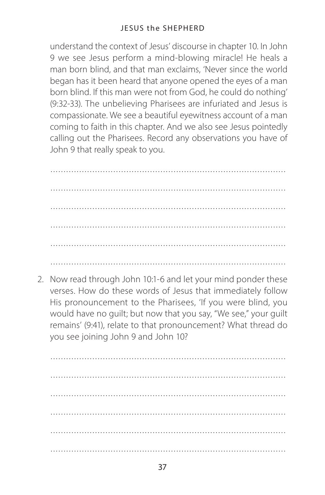### JESUS the SHEPHERD

understand the context of Jesus' discourse in chapter 10. In John 9 we see Jesus perform a mind-blowing miracle! He heals a man born blind, and that man exclaims, 'Never since the world began has it been heard that anyone opened the eyes of a man born blind. If this man were not from God, he could do nothing' (9:32-33). The unbelieving Pharisees are infuriated and Jesus is compassionate. We see a beautiful eyewitness account of a man coming to faith in this chapter. And we also see Jesus pointedly calling out the Pharisees. Record any observations you have of John 9 that really speak to you.

 .......................................................................................... .......................................................................................... ..........................................................................................

2. Now read through John 10:1-6 and let your mind ponder these verses. How do these words of Jesus that immediately follow His pronouncement to the Pharisees, 'If you were blind, you would have no guilt; but now that you say, "We see," your guilt remains' (9:41), relate to that pronouncement? What thread do you see joining John 9 and John 10?

 .......................................................................................... ..........................................................................................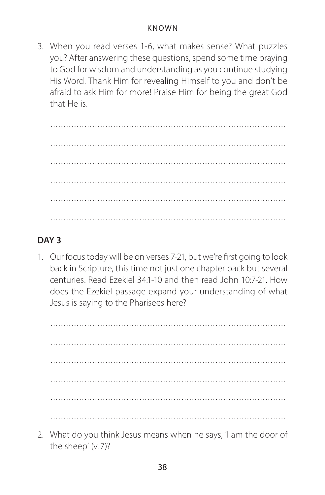3. When you read verses 1-6, what makes sense? What puzzles you? After answering these questions, spend some time praying to God for wisdom and understanding as you continue studying His Word. Thank Him for revealing Himself to you and don't be afraid to ask Him for more! Praise Him for being the great God that He is.

 .......................................................................................... .......................................................................................... .......................................................................................... ..........................................................................................

# **DAY 3**

1. Our focus today will be on verses 7-21, but we're first going to look back in Scripture, this time not just one chapter back but several centuries. Read Ezekiel 34:1-10 and then read John 10:7-21. How does the Ezekiel passage expand your understanding of what Jesus is saying to the Pharisees here?

 .......................................................................................... .......................................................................................... .......................................................................................... ..........................................................................................

2. What do you think Jesus means when he says, 'I am the door of the sheep' (v. 7)?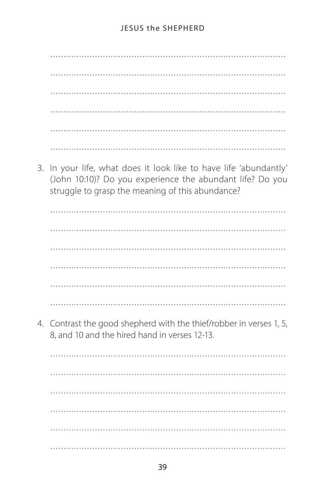3. In your life, what does it look like to have life 'abundantly' (John 10:10)? Do you experience the abundant life? Do you struggle to grasp the meaning of this abundance?

4. Contrast the good shepherd with the thief/robber in verses 1, 5, 8. and 10 and the hired hand in verses 12-13.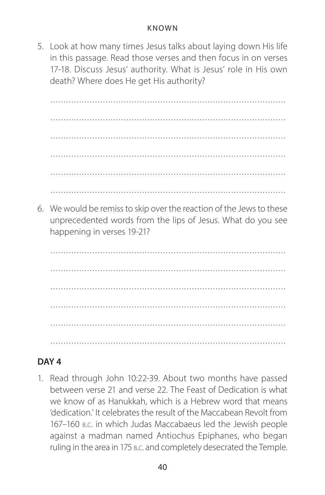5. Look at how many times Jesus talks about laying down His life in this passage. Read those verses and then focus in on verses 17-18. Discuss Jesus' authority. What is Jesus' role in His own death? Where does He get His authority?

 .......................................................................................... .......................................................................................... .......................................................................................... ..........................................................................................

6. We would be remiss to skip over the reaction of the Jews to these unprecedented words from the lips of Jesus. What do you see happening in verses 19-21?

 .......................................................................................... ..........................................................................................

### **DAY 4**

1. Read through John 10:22-39. About two months have passed between verse 21 and verse 22. The Feast of Dedication is what we know of as Hanukkah, which is a Hebrew word that means 'dedication.' It celebrates the result of the Maccabean Revolt from 167–160 b.c. in which Judas Maccabaeus led the Jewish people against a madman named Antiochus Epiphanes, who began ruling in the area in 175 b.c. and completely desecrated the Temple.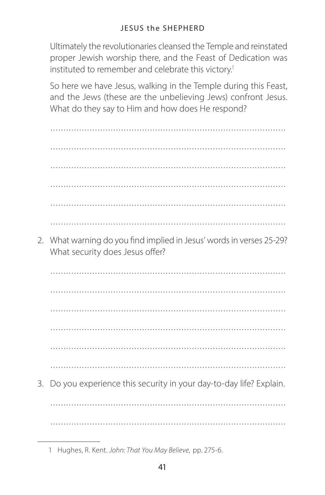Ultimately the revolutionaries cleansed the Temple and reinstated proper Jewish worship there, and the Feast of Dedication was instituted to remember and celebrate this victory.<sup>1</sup>

So here we have Jesus, walking in the Temple during this Feast, and the Jews (these are the unbelieving Jews) confront Jesus. What do they say to Him and how does He respond?

2. What warning do you find implied in Jesus' words in verses 25-29? What security does Jesus offer?

3. Do you experience this security in your day-to-day life? Explain.

<sup>1</sup> Hughes, R. Kent. John: That You May Believe, pp. 275-6.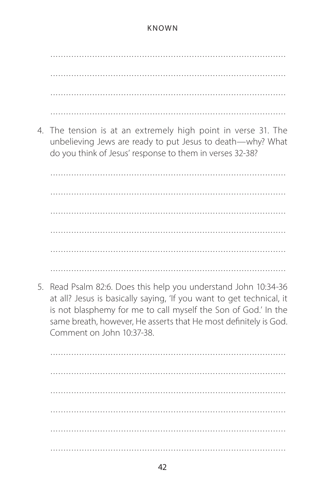4. The tension is at an extremely high point in verse 31. The unbelieving Jews are ready to put Jesus to death-why? What do you think of Jesus' response to them in verses 32-38?

5. Read Psalm 82:6. Does this help you understand John 10:34-36 at all? Jesus is basically saying, 'If you want to get technical, it is not blasphemy for me to call myself the Son of God.' In the same breath, however, He asserts that He most definitely is God. Comment on John 10:37-38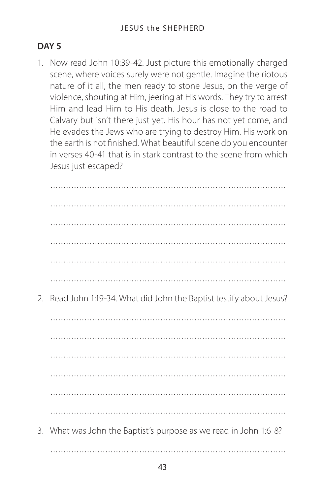### **DAY 5**

1. Now read John 10:39-42. Just picture this emotionally charged scene, where voices surely were not gentle. Imagine the riotous nature of it all, the men ready to stone Jesus, on the verge of violence, shouting at Him, jeering at His words. They try to arrest Him and lead Him to His death. Jesus is close to the road to Calvary but isn't there just yet. His hour has not yet come, and He evades the Jews who are trying to destroy Him. His work on the earth is not finished. What beautiful scene do you encounter in verses 40-41 that is in stark contrast to the scene from which Jesus just escaped?

| 2. | Read John 1:19-34. What did John the Baptist testify about Jesus? |
|----|-------------------------------------------------------------------|
|    |                                                                   |
|    |                                                                   |
|    |                                                                   |
|    |                                                                   |
|    |                                                                   |
|    |                                                                   |
|    | 3. What was John the Baptist's purpose as we read in John 1:6-8?  |
|    |                                                                   |
|    |                                                                   |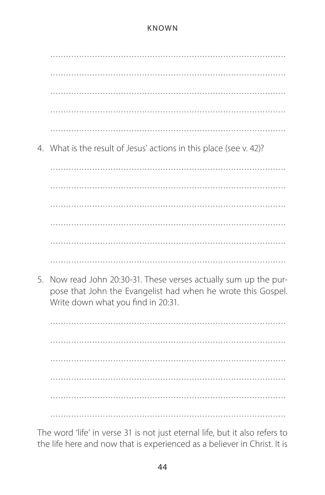4. What is the result of Jesus' actions in this place (see v. 42)? 

5. Now read John 20:30-31. These verses actually sum up the purpose that John the Evangelist had when he wrote this Gospel. Write down what you find in 20:31.

The word 'life' in verse 31 is not just eternal life, but it also refers to the life here and now that is experienced as a believer in Christ. It is